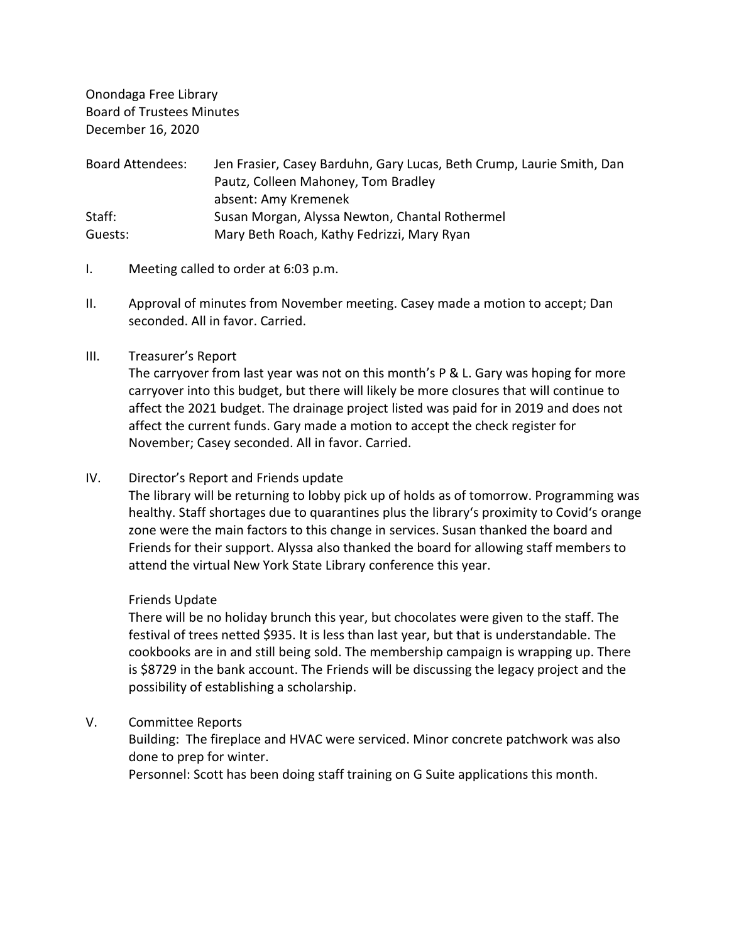Onondaga Free Library Board of Trustees Minutes December 16, 2020

| <b>Board Attendees:</b> | Jen Frasier, Casey Barduhn, Gary Lucas, Beth Crump, Laurie Smith, Dan |
|-------------------------|-----------------------------------------------------------------------|
|                         | Pautz, Colleen Mahoney, Tom Bradley                                   |
|                         | absent: Amy Kremenek                                                  |
| Staff:                  | Susan Morgan, Alyssa Newton, Chantal Rothermel                        |
| Guests:                 | Mary Beth Roach, Kathy Fedrizzi, Mary Ryan                            |

- I. Meeting called to order at 6:03 p.m.
- II. Approval of minutes from November meeting. Casey made a motion to accept; Dan seconded. All in favor. Carried.

### III. Treasurer's Report

The carryover from last year was not on this month's P & L. Gary was hoping for more carryover into this budget, but there will likely be more closures that will continue to affect the 2021 budget. The drainage project listed was paid for in 2019 and does not affect the current funds. Gary made a motion to accept the check register for November; Casey seconded. All in favor. Carried.

### IV. Director's Report and Friends update

The library will be returning to lobby pick up of holds as of tomorrow. Programming was healthy. Staff shortages due to quarantines plus the library's proximity to Covid's orange zone were the main factors to this change in services. Susan thanked the board and Friends for their support. Alyssa also thanked the board for allowing staff members to attend the virtual New York State Library conference this year.

#### Friends Update

There will be no holiday brunch this year, but chocolates were given to the staff. The festival of trees netted \$935. It is less than last year, but that is understandable. The cookbooks are in and still being sold. The membership campaign is wrapping up. There is \$8729 in the bank account. The Friends will be discussing the legacy project and the possibility of establishing a scholarship.

### V. Committee Reports

Building: The fireplace and HVAC were serviced. Minor concrete patchwork was also done to prep for winter.

Personnel: Scott has been doing staff training on G Suite applications this month.